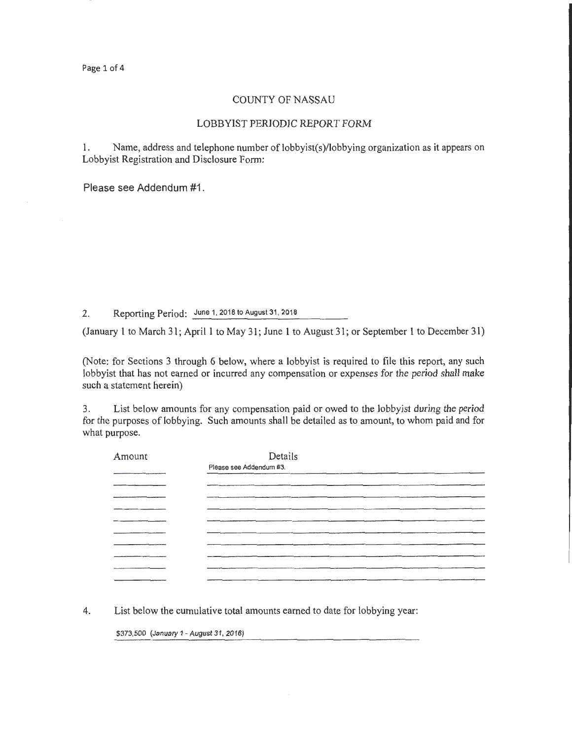#### COUNTY OF NASSAU

#### LOBBYIST PERIODIC REPORT FORM

1. Name, address and telephone number of lobbyist(s)/lobbying organization as it appears on Lobbyist Registration and Disclosure Form:

Please see Addendum #1.

2. Reporting Period: June 1, 2018 to August 31, 2018

(January 1 to March 31; April 1 to May 31; June I to August 31; or September 1 to December 31)

(Note: for Sections 3 through 6 below, where a lobbyist is required to file this report, any such lobbyist that has not earned or incurred any compensation or expenses for the period shall make such a statement herein)

3. List below amounts for any compensation paid or owed to the lobbyist during the period for the purposes of lobbying. Such amounts shall be detailed as to amount, to whom paid and for what purpose.

| Amount | Details                 |
|--------|-------------------------|
|        | Please see Addendum #3. |
|        |                         |
|        |                         |
|        |                         |
|        |                         |
|        |                         |
|        |                         |
|        |                         |
|        |                         |
|        |                         |
|        |                         |

4. List below the cumulative total amounts earned to date for lobbying year:

\$373,500 (January 1 -August 31, 2018)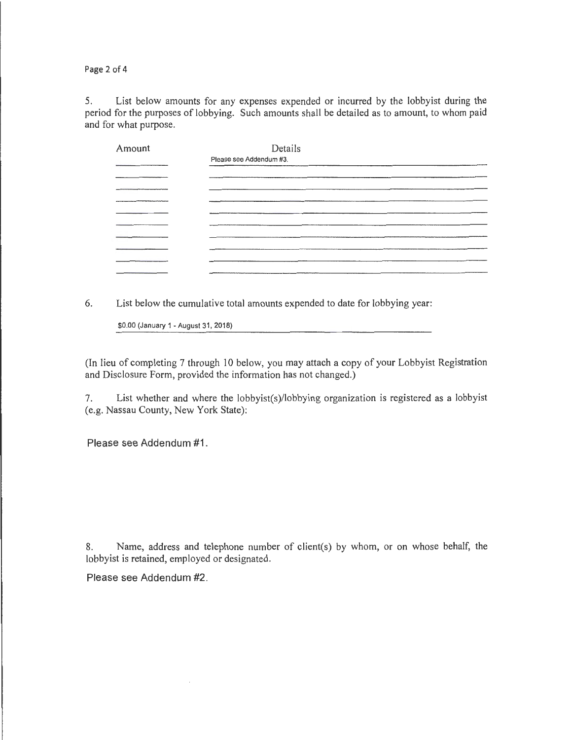Page 2 of 4

5. List below amounts for any expenses expended or incurred by the lobbyist during the period for the purposes of lobbying. Such amounts shall be detailed as to amount, to whom paid and for what purpose.

| Amount | Details                 |
|--------|-------------------------|
|        | Please see Addendum #3. |
|        |                         |
|        |                         |
|        |                         |
|        |                         |
|        |                         |
|        |                         |
|        |                         |
|        |                         |
|        | _____________           |

6. List below the cumulative total amounts expended to date for lobbying year:

\$0.00 (January 1- August 31, 2018)

(In lieu of completing 7 through 10 below, you may attach a copy of your Lobbyist Registration and Disclosure Form, provided the information has not changed.)

7. List whether and where the lobbyist(s)/lobbying organization is registered as a lobbyist (e.g. Nassau County, New York State):

Please see Addendum #1.

8. Name, address and telephone number of client(s) by whom, or on whose behalf, the lobbyist is retained, employed or designated.

Please see Addendum #2.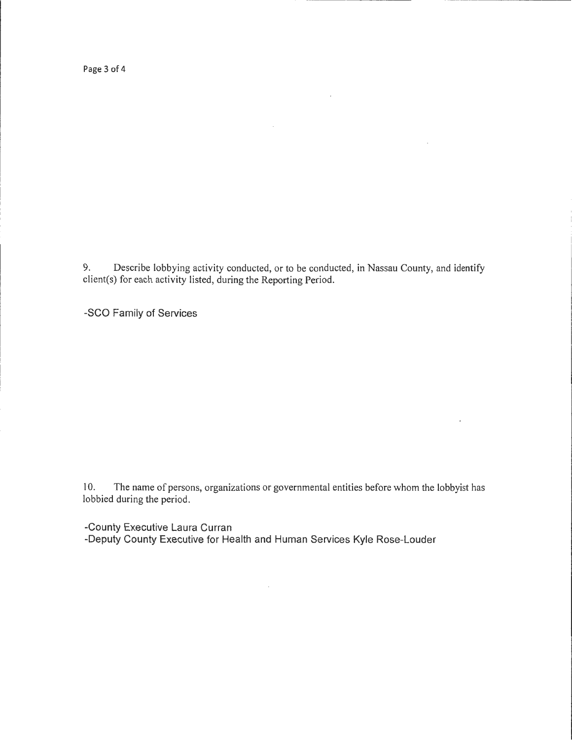Page 3 of 4

9. Describe lobbying activity conducted, or to be conducted, in Nassau County, and identify client(s) for each activity listed, during the Reporting Period.

 $\sim$ 

 $\mathcal{A}$ 

-SCO Family of Services

10. The name of persons, organizations or governmental entities before whom the lobbyist has lobbied during the period.

-County Executive Laura Curran

-Deputy County Executive for Health and Human Services Kyle Rose-Louder

 $\mathcal{L}^{\text{eff}}$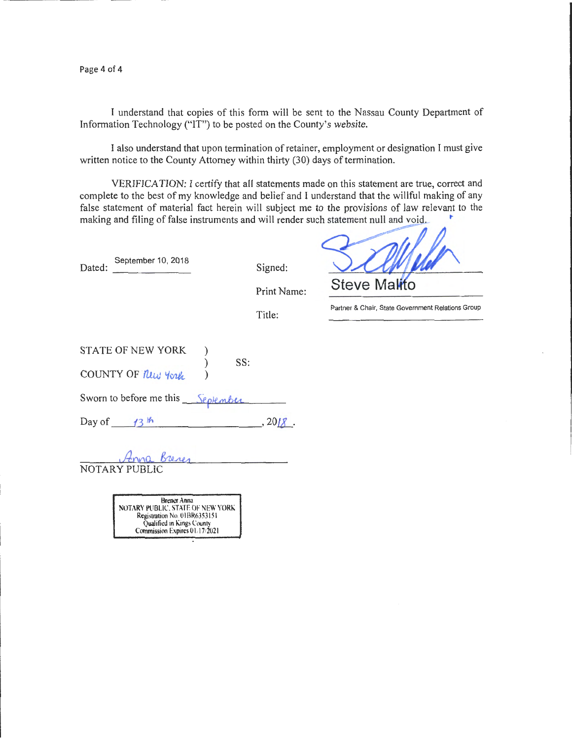Page 4 of 4

I understand that copies of this form will be sent to the Nassau County Department of Information Technology ("IT") to be posted on the County's website.

I also understand that upon termination of retainer, employment or designation I must give written notice to the County Attorney within thirty (30) days of termination.

VERIFICATION: I certify that all statements made on this statement are true, correct and complete to the best of my knowledge and belief and I understand that the willful making of any false statement of material fact herein will subject me to the provisions of law relevant to the making and filing of false instruments and will render such statement null and void.

| Dated: | September 10, 2018 |
|--------|--------------------|
|        |                    |

Signed:

**Steve M** 

Print Name:

Title:

Partner & Chair, State Government Relations Group

|        | <b>STATE OF NEW YORK</b>          | SS: |            |
|--------|-----------------------------------|-----|------------|
|        | COUNTY OF Rew York                |     |            |
|        | Sworn to before me this September |     |            |
| Day of | 13 <sup>th</sup>                  |     | $, 2018$ . |

NOTARY PUBLIC

Brener Anna<br>NOTARY PUBLIC, STATE OF NEW YORK Registration No. OIBR6353151 Qualified in Kings County Commission Expires 01/17/2021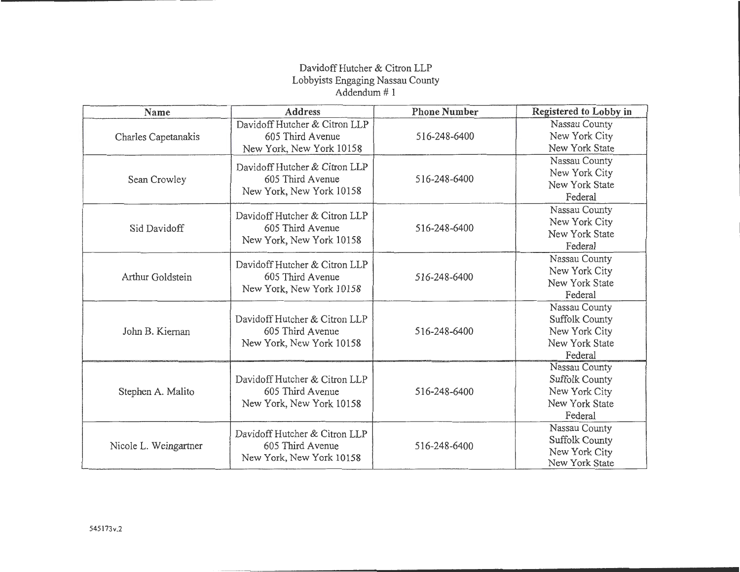## Davidoff Hutcher & Citron LLP Lobbyists Engaging Nassau County Addendum# 1

| Name                  | <b>Address</b>                                                                | <b>Phone Number</b> | Registered to Lobby in                                                               |
|-----------------------|-------------------------------------------------------------------------------|---------------------|--------------------------------------------------------------------------------------|
| Charles Capetanakis   | Davidoff Hutcher & Citron LLP<br>605 Third Avenue<br>New York, New York 10158 | 516-248-6400        | Nassau County<br>New York City<br>New York State                                     |
| Sean Crowley          | Davidoff Hutcher & Citron LLP<br>605 Third Avenue<br>New York, New York 10158 | 516-248-6400        | Nassau County<br>New York City<br>New York State<br>Federal                          |
| Sid Davidoff          | Davidoff Hutcher & Citron LLP<br>605 Third Avenue<br>New York, New York 10158 | 516-248-6400        | Nassau County<br>New York City<br>New York State<br>Federal                          |
| Arthur Goldstein      | Davidoff Hutcher & Citron LLP<br>605 Third Avenue<br>New York, New York 10158 | 516-248-6400        | Nassau County<br>New York City<br>New York State<br>Federal                          |
| John B. Kiernan       | Davidoff Hutcher & Citron LLP<br>605 Third Avenue<br>New York, New York 10158 | 516-248-6400        | Nassau County<br><b>Suffolk County</b><br>New York City<br>New York State<br>Federal |
| Stephen A. Malito     | Davidoff Hutcher & Citron LLP<br>605 Third Avenue<br>New York, New York 10158 | 516-248-6400        | Nassau County<br>Suffolk County<br>New York City<br>New York State<br>Federal        |
| Nicole L. Weingartner | Davidoff Hutcher & Citron LLP<br>605 Third Avenue<br>New York, New York 10158 | 516-248-6400        | Nassau County<br><b>Suffolk County</b><br>New York City<br>New York State            |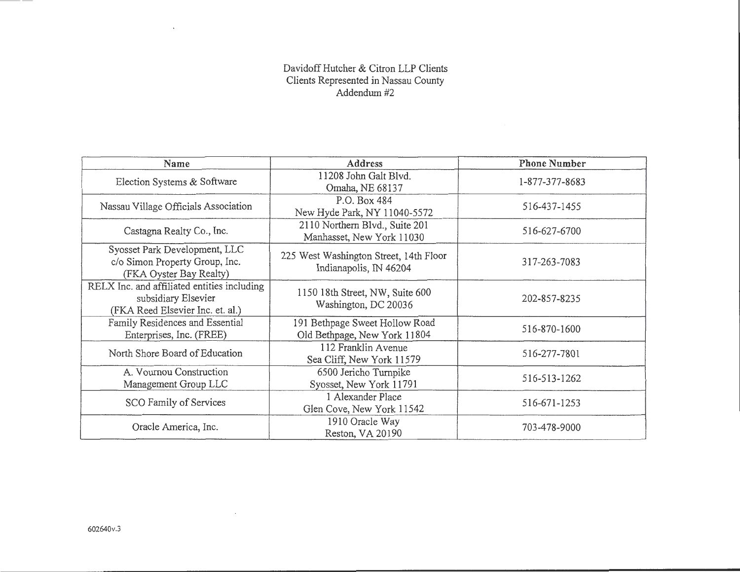### Davidoff Hutcher & Citron LLP Clients Clients Represented in Nassau County Addendum#2

| Name                                                                                                   | <b>Address</b>                                                   | <b>Phone Number</b> |
|--------------------------------------------------------------------------------------------------------|------------------------------------------------------------------|---------------------|
| Election Systems & Software                                                                            | 11208 John Galt Blvd.<br>Omaha, NE 68137                         | 1-877-377-8683      |
| Nassau Village Officials Association                                                                   | P.O. Box 484<br>New Hyde Park, NY 11040-5572                     | 516-437-1455        |
| Castagna Realty Co., Inc.                                                                              | 2110 Northern Blvd., Suite 201<br>Manhasset, New York 11030      | 516-627-6700        |
| Syosset Park Development, LLC<br>c/o Simon Property Group, Inc.<br>(FKA Oyster Bay Realty)             | 225 West Washington Street, 14th Floor<br>Indianapolis, IN 46204 | 317-263-7083        |
| RELX Inc. and affiliated entities including<br>subsidiary Elsevier<br>(FKA Reed Elsevier Inc. et. al.) | 1150 18th Street, NW, Suite 600<br>Washington, DC 20036          | 202-857-8235        |
| Family Residences and Essential<br>Enterprises, Inc. (FREE)                                            | 191 Bethpage Sweet Hollow Road<br>Old Bethpage, New York 11804   | 516-870-1600        |
| North Shore Board of Education                                                                         | 112 Franklin Avenue<br>Sea Cliff, New York 11579                 | 516-277-7801        |
| A. Vournou Construction<br>Management Group LLC                                                        | 6500 Jericho Turnpike<br>Syosset, New York 11791                 | 516-513-1262        |
| SCO Family of Services                                                                                 | 1 Alexander Place<br>Glen Cove, New York 11542                   | 516-671-1253        |
| Oracle America, Inc.                                                                                   | 1910 Oracle Way<br>Reston, VA 20190                              | 703-478-9000        |

 $\sim$ 

 $\sim$